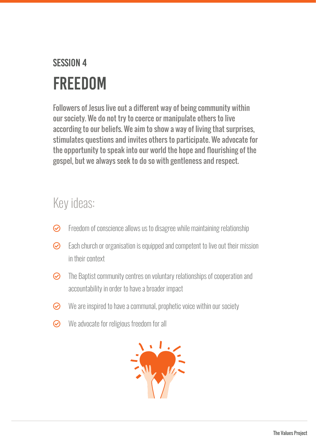## Session 4 FREEDOM

Followers of Jesus live out a different way of being community within our society. We do not try to coerce or manipulate others to live according to our beliefs. We aim to show a way of living that surprises, stimulates questions and invites others to participate. We advocate for the opportunity to speak into our world the hope and flourishing of the gospel, but we always seek to do so with gentleness and respect.

## Key ideas:

- $\odot$  Freedom of conscience allows us to disagree while maintaining relationship
- $\odot$  Each church or organisation is equipped and competent to live out their mission in their context
- $\odot$  The Baptist community centres on voluntary relationships of cooperation and accountability in order to have a broader impact
- $\odot$  We are inspired to have a communal, prophetic voice within our society
- $\odot$  We advocate for religious freedom for all